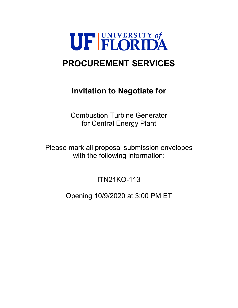

# **PROCUREMENT SERVICES**

# **Invitation to Negotiate for**

Combustion Turbine Generator for Central Energy Plant

Please mark all proposal submission envelopes with the following information:

ITN21KO-113

Opening 10/9/2020 at 3:00 PM ET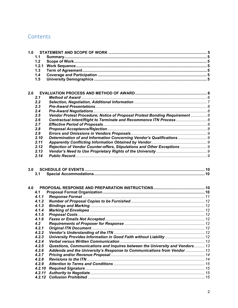# Contents

| 1.0 |        |                                                                              |  |
|-----|--------|------------------------------------------------------------------------------|--|
|     | 1.1    |                                                                              |  |
|     | 1.2    |                                                                              |  |
|     | 1.2.1  |                                                                              |  |
|     | 1.3    |                                                                              |  |
|     | 1.4    |                                                                              |  |
|     | 1.5    |                                                                              |  |
|     |        |                                                                              |  |
|     |        |                                                                              |  |
| 2.0 |        |                                                                              |  |
|     | 2.1    |                                                                              |  |
|     | 2.2    |                                                                              |  |
|     | 2.3    |                                                                              |  |
|     | 2.4    |                                                                              |  |
|     | 2.5    | Vendor Protest Procedure; Notice of Proposal Protest Bonding Requirement  8  |  |
|     | 2.6    | Contractual Intent/Right to Terminate and Recommence ITN Process 8           |  |
|     | 2.7    |                                                                              |  |
|     | 2.8    |                                                                              |  |
|     |        |                                                                              |  |
|     | 2.9    |                                                                              |  |
|     | 2.10   |                                                                              |  |
|     | 2.11   |                                                                              |  |
|     | 2.12   | Rejection of Vendor Counter-offers, Stipulations and Other Exceptions  9     |  |
|     | 2.13   |                                                                              |  |
|     | 2.14   |                                                                              |  |
| 3.0 | 3.1    |                                                                              |  |
|     |        |                                                                              |  |
|     |        |                                                                              |  |
| 4.0 |        |                                                                              |  |
|     | 4.1    |                                                                              |  |
|     | 4.1.1  |                                                                              |  |
|     | 4.1.2  |                                                                              |  |
|     | 4.1.3  |                                                                              |  |
|     | 4.1.4  |                                                                              |  |
|     | 4.1.5  |                                                                              |  |
|     | 4.1.6  |                                                                              |  |
|     | 4.2    |                                                                              |  |
|     | 4.2.1  |                                                                              |  |
|     | 4.2.2  |                                                                              |  |
|     | 4.2.3  | University Provides Information in Good Faith without Liability  12          |  |
|     | 4.2.4  |                                                                              |  |
|     | 4.2.5  | Questions, Communications and Inquires between the University and Vendors 13 |  |
|     | 4.2.6  | Addenda and the University's Response to Communications from Vendor  13      |  |
|     |        |                                                                              |  |
|     |        |                                                                              |  |
|     | 4.2.7  |                                                                              |  |
|     | 4.2.8  |                                                                              |  |
|     | 4.2.9  |                                                                              |  |
|     | 4.2.10 |                                                                              |  |
|     | 4.2.11 |                                                                              |  |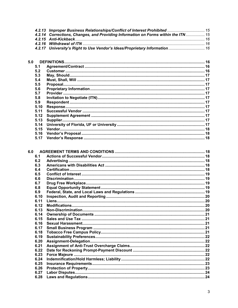| 4.2.13 Improper Business Relationships/Conflict of Interest Prohibited  15        |  |
|-----------------------------------------------------------------------------------|--|
| 4.2.14 Corrections, Changes, and Providing Information on Forms within the ITN 15 |  |
|                                                                                   |  |
|                                                                                   |  |
| 4.2.17 University's Right to Use Vendor's Ideas/Proprietary Information  16       |  |

| 5.0  |        |  |  |  |  |
|------|--------|--|--|--|--|
| 5.1  |        |  |  |  |  |
| 5.2  |        |  |  |  |  |
| 5.3  |        |  |  |  |  |
| 5.4  |        |  |  |  |  |
| 5.5  |        |  |  |  |  |
| 5.6  |        |  |  |  |  |
| 5.7  |        |  |  |  |  |
| 5.8  |        |  |  |  |  |
| 5.9  |        |  |  |  |  |
| 5.10 |        |  |  |  |  |
| 5.11 |        |  |  |  |  |
| 5.12 |        |  |  |  |  |
| 5.13 |        |  |  |  |  |
| 5.14 |        |  |  |  |  |
| 5.15 | Vendor |  |  |  |  |
| 5.16 |        |  |  |  |  |
| 5.17 |        |  |  |  |  |

| 6.0 |      |  |
|-----|------|--|
|     | 6.1  |  |
|     | 6.2  |  |
|     | 6.3  |  |
|     | 6.4  |  |
|     | 6.5  |  |
|     | 6.6  |  |
|     | 6.7  |  |
|     | 6.8  |  |
|     | 6.9  |  |
|     | 6.10 |  |
|     | 6.11 |  |
|     | 6.12 |  |
|     | 6.13 |  |
|     | 6.14 |  |
|     | 6.15 |  |
|     | 6.16 |  |
|     | 6.17 |  |
|     | 6.18 |  |
|     | 6.19 |  |
|     | 6.20 |  |
|     | 6.21 |  |
|     | 6.22 |  |
|     | 6.23 |  |
|     | 6.24 |  |
|     | 6.25 |  |
|     | 6.26 |  |
|     | 6.27 |  |
|     | 6.28 |  |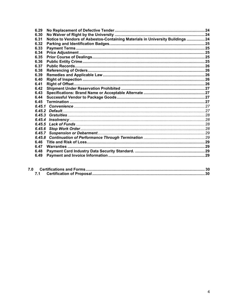| 6.29   |                                                                                |  |
|--------|--------------------------------------------------------------------------------|--|
| 6.30   |                                                                                |  |
| 6.31   | Notice to Vendors of Asbestos-Containing Materials in University Buildings  24 |  |
| 6.32   |                                                                                |  |
| 6.33   |                                                                                |  |
| 6.34   |                                                                                |  |
| 6.35   |                                                                                |  |
| 6.36   |                                                                                |  |
| 6.37   |                                                                                |  |
| 6.38   |                                                                                |  |
| 6.39   |                                                                                |  |
| 6.40   |                                                                                |  |
| 6.41   |                                                                                |  |
| 6.42   |                                                                                |  |
| 6.43   |                                                                                |  |
| 6.44   |                                                                                |  |
| 6.45   |                                                                                |  |
|        |                                                                                |  |
| 6.45.2 |                                                                                |  |
| 6.45.3 |                                                                                |  |
| 6.45.4 |                                                                                |  |
| 6.45.5 |                                                                                |  |
| 6.45.6 |                                                                                |  |
| 6.45.7 |                                                                                |  |
| 6.45.8 |                                                                                |  |
| 6.46   |                                                                                |  |
| 6.47   |                                                                                |  |
|        |                                                                                |  |
| 6.48   |                                                                                |  |
| 6.49   |                                                                                |  |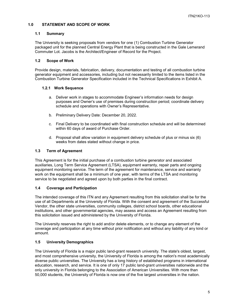# <span id="page-4-0"></span>**1.0 STATEMENT AND SCOPE OF WORK**

# <span id="page-4-1"></span>**1.1 Summary**

The University is seeking proposals from vendors for one (1) Combustion Turbine Generator packaged unit for the planned Central Energy Plant that is being constructed in the Gale Lemerand Commuter Lot. Jacobs is the Architect/Engineer of Record for the Project.

# <span id="page-4-2"></span>**1.2 Scope of Work**

Provide design, materials, fabrication, delivery, documentation and testing of all combustion turbine generator equipment and accessories, including but not necessarily limited to the items listed in the Combustion Turbine Generator Specification included in the Technical Specifications in Exhibit A.

# <span id="page-4-3"></span>**1.2.1 Work Sequence**

- a. Deliver work in stages to accommodate Engineer's information needs for design purposes and Owner's use of premises during construction period; coordinate delivery schedule and operations with Owner's Representative.
- b. Preliminary Delivery Date: December 20, 2022.
- c. Final Delivery to be coordinated with final construction schedule and will be determined within 60 days of award of Purchase Order.
- d. Proposal shall allow variation in equipment delivery schedule of plus or minus six (6) weeks from dates stated without change in price.

# <span id="page-4-4"></span>**1.3 Term of Agreement**

This Agreement is for the initial purchase of a combustion turbine generator and associated auxiliaries, Long Term Service Agreement (LTSA), equipment warranty, repair parts and ongoing equipment monitoring service. The term of the agreement for maintenance, service and warranty work on the equipment shall be a minimum of one year, with terms of the LTSA and monitoring service to be negotiated and agreed upon by both parties in the final contract.

#### <span id="page-4-5"></span>**1.4 Coverage and Participation**

The intended coverage of this ITN and any Agreement resulting from this solicitation shall be for the use of all Departments at the University of Florida. With the consent and agreement of the Successful Vendor, the other state universities, community colleges, district school boards, other educational institutions, and other governmental agencies, may assess and access an Agreement resulting from this solicitation issued and administered by the University of Florida.

The University reserves the right to add and/or delete elements, or to change any element of the coverage and participation at any time without prior notification and without any liability of any kind or amount.

# <span id="page-4-6"></span>**1.5 University Demographics**

The University of Florida is a major public land-grant research university. The state's oldest, largest, and most comprehensive university, the University of Florida is among the nation's most academically diverse public universities. The University has a long history of established programs in international education, research, and service. It is one of only 17 public land-grant universities nationwide and the only university in Florida belonging to the Association of American Universities. With more than 50,000 students, the University of Florida is now one of the five largest universities in the nation.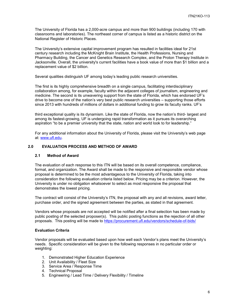The University of Florida has a 2,000-acre campus and more than 900 buildings (including 170 with classrooms and laboratories). The northeast corner of campus is listed as a historic district on the National Register of Historic Places.

The University's extensive capital improvement program has resulted in facilities ideal for 21st century research including the McKnight Brain Institute, the Health Professions, Nursing and Pharmacy Building, the Cancer and Genetics Research Complex, and the Proton Therapy Institute in Jacksonville. Overall, the university's current facilities have a book value of more than \$1 billion and a replacement value of \$2 billion.

Several qualities distinguish UF among today's leading public research universities.

The first is its highly comprehensive breadth on a single campus, facilitating interdisciplinary collaboration among, for example, faculty within the adjacent colleges of journalism, engineering and medicine. The second is its unwavering support from the state of Florida, which has endorsed UF's drive to become one of the nation's very best public research universities – supporting those efforts since 2013 with hundreds of millions of dollars in additional funding to grow its faculty ranks. UF's

third exceptional quality is its dynamism. Like the state of Florida, now the nation's third- largest and among its fastest-growing, UF is undergoing rapid transformation as it pursues its overarching aspiration "to be a premier university that the state, nation and world look to for leadership."

For any additional information about the University of Florida, please visit the University's web page at: [www.ufl.edu.](http://www.ufl.edu/)

# <span id="page-5-0"></span>**2.0 EVALUATION PROCESS AND METHOD OF AWARD**

#### <span id="page-5-1"></span>**2.1 Method of Award**

The evaluation of each response to this ITN will be based on its overall competence, compliance, format, and organization. The Award shall be made to the responsive and responsible vendor whose proposal is determined to be the most advantageous to the University of Florida, taking into consideration the following evaluation criteria listed below. Pricing may be a criterion. However, the University is under no obligation whatsoever to select as most responsive the proposal that demonstrates the lowest pricing.

The contract will consist of the University's ITN, the proposal with any and all revisions, award letter, purchase order, and the signed agreement between the parties, as stated in that agreement.

Vendors whose proposals are not accepted will be notified after a final selection has been made by public posting of the selected proposer(s). This public posting functions as the rejection of all other proposals. This posting will be made to<https://procurement.ufl.edu/vendors/schedule-of-bids/>

#### **Evaluation Criteria**

Vendor proposals will be evaluated based upon how well each Vendor's plans meet the University's needs. Specific consideration will be given to the following responses in no particular order or weighting:

- 1. Demonstrated Higher Education Experience
- 2. Unit Availability / Fleet Size
- 3. Service Area / Response Time
- 4. Technical Proposal
- 5. Engineering / Lead Time / Delivery Flexibility / Timeline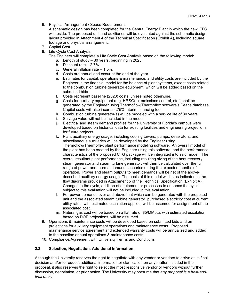6. Physical Arrangement / Space Requirements

A schematic design has been completed for the Central Energy Plant in which the new CTG will reside. The proposed unit and auxiliaries will be evaluated against the schematic design layout provided in Attachment 4 of the Technical Specification (Exhibit A), including square footage and physical arrangement.

- 7. Capital Cost
- 8. Life Cycle Cost Analysis
	- The Engineer will complete a Life Cycle Cost Analysis based on the following model:
		- a. Length of study 30 years, beginning in 2025.
		- b. Discount rate 2.7%.
		- c. General inflation rate 1.5%.
		- d. Costs are annual and occur at the end of the year.
		- e. Estimates for capital, operations & maintenance, and utility costs are included by the Engineer in the financial model for the balance of plant systems, except costs related to the combustion turbine generator equipment, which will be added based on the submitted bids.
		- f. Costs represent baseline (2020) costs, unless noted otherwise.
		- g. Costs for auxiliary equipment (e.g. HRSG(s), emissions control, etc.) shall be generated by the Engineer using Thermoflow/Thermoflex software's Peace database. Capital costs will also incur a 4.75% interim financing fee.
		- h. Combustion turbine generator(s) will be modeled with a service life of 30 years.
		- i. Salvage value will not be included in the model.
		- j. Electrical and steam demand profiles for the University of Florida's campus were developed based on historical data for existing facilities and engineering projections for future projects.
		- k. Plant auxiliary energy usage, including cooling towers, pumps, deaerators, and miscellaneous auxiliaries will be developed by the Engineer using Thermoflow/Thermoflex plant performance modeling software. An overall model of the plant has been created by the Engineer using this software, and the performance characteristics of the proposed CTG package will be integrated into said model. The overall resultant plant performance, including resulting sizing of the heat recovery steam generator and steam turbine generator, will then be calculated over the full range of power and thermal demand scenarios during the expected months of operation. Power and steam outputs to meet demands will be net of the abovedescribed auxiliary energy usage. The basis of this model will be as indicated in the flow diagrams provided in Attachment 5 of the Technical Specification (Exhibit A). Changes to the cycle, addition of equipment or processes to enhance the cycle subject to this evaluation will not be included in this evaluation.
		- l. For power demands over and above that which can be generated with the proposed unit and the associated steam turbine generator, purchased electricity cost at current utility rates, with estimated escalation applied, will be assumed for assignment of the associated cost.
		- m. Natural gas cost will be based on a flat rate of \$5/MMbtu, with estimated escalation based on DOE projections, will be assumed.
- 9. Operations & maintenance costs will be developed based on submitted bids and on projections for auxiliary equipment operations and maintenance costs. Proposed maintenance service agreement and extended warranty costs will be annualized and added to the baseline annual operations & maintenance costs.
- 10. Compliance/Agreement with University Terms and Conditions

# <span id="page-6-0"></span>**2.2 Selection, Negotiation, Additional Information**

Although the University reserves the right to negotiate with any vendor or vendors to arrive at its final decision and/or to request additional information or clarification on any matter included in the proposal, it also reserves the right to select the most responsive vendor or vendors without further discussion, negotiation, or prior notice. The University may presume that *any proposal is a best-andfinal offer.*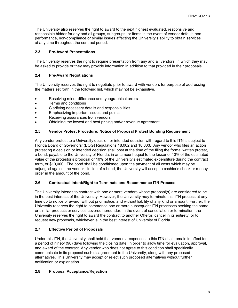The University also reserves the right to award to the next highest evaluated, responsive and responsible bidder for any and all groups, subgroups, or items in the event of vendor default, nonperformance, non-compliance or similar issues affecting the University's ability to obtain services at any time throughout the contract period.

# <span id="page-7-0"></span>**2.3 Pre-Award Presentations**

The University reserves the right to require presentation from any and all vendors, in which they may be asked to provide or they may provide information in addition to that provided in their proposals.

# <span id="page-7-1"></span>**2.4 Pre-Award Negotiations**

The University reserves the right to negotiate prior to award with vendors for purpose of addressing the matters set forth in the following list, which may not be exhaustive.

- Resolving minor difference and typographical errors
- Terms and conditions
- Clarifying necessary details and responsibilities
- Emphasizing important issues and points
- Receiving assurances from vendors
- Obtaining the lowest and best pricing and/or revenue agreement

# <span id="page-7-2"></span>**2.5 Vendor Protest Procedure; Notice of Proposal Protest Bonding Requirement**

Any vendor protest to a University decision or intended decision with regard to this ITN is subject to Florida Board of Governors' (BOG) Regulations 18.002 and 18.003. Any vendor who files an action protesting a decision or intended decision shall post at the time of the filing the formal written protest, a bond, payable to the University of Florida, in an amount equal to the lessor of 10% of the estimated value of the protestor's proposal or 10% of the University's estimated expenditure during the contract term, or \$10,000. The bond shall be conditioned upon the payment of all costs which may be adjudged against the vendor. In lieu of a bond, the University will accept a cashier's check or money order in the amount of the bond.

# <span id="page-7-3"></span>**2.6 Contractual Intent/Right to Terminate and Recommence ITN Process**

The University intends to contract with one or more vendors whose proposal(s) are considered to be in the best interests of the University. However, the University may terminate this ITN process at any time up to notice of award, without prior notice, and without liability of any kind or amount. Further, the University reserves the right to commence one or more subsequent ITN processes seeking the same or similar products or services covered hereunder. In the event of cancellation or termination, the University reserves the right to award the contract to another Offeror, cancel in its entirety, or to request new proposals, whichever is in the best interest of University of Florida.

# <span id="page-7-4"></span>**2.7 Effective Period of Proposals**

Under this ITN, the University shall hold that vendors' responses to this ITN shall remain in effect for a period of ninety (90) days following the closing date, in order to allow time for evaluation, approval, and award of the contract. Any vendor who does not agree to this condition shall specifically communicate in its proposal such disagreement to the University, along with any proposed alternatives. This University may accept or reject such proposed alternatives without further notification or explanation.

# <span id="page-7-5"></span>**2.8 Proposal Acceptance/Rejection**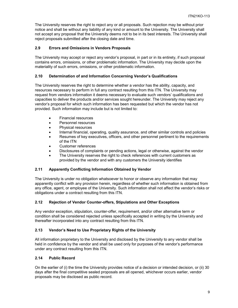The University reserves the right to reject any or all proposals. Such rejection may be without prior notice and shall be without any liability of any kind or amount to the University. The University shall not accept any proposal that the University deems not to be in its best interests. The University shall reject proposals submitted after the closing date and time.

# <span id="page-8-0"></span>**2.9 Errors and Omissions in Vendors Proposals**

The University may accept or reject any vendor's proposal, in part or in its entirety, if such proposal contains errors, omissions, or other problematic information. The University may decide upon the materiality of such errors, omissions, or other problematic information.

# <span id="page-8-1"></span>**2.10 Determination of and Information Concerning Vendor's Qualifications**

The University reserves the right to determine whether a vendor has the ability, capacity, and resources necessary to perform in full any contract resulting from this ITN. The University may request from vendors information it deems necessary to evaluate such vendors' qualifications and capacities to deliver the products and/or services sought hereunder. The University may reject any vendor's proposal for which such information has been requested but which the vendor has not provided. Such information may include but is not limited to:

- Financial resources
- Personnel resources
- Physical resources
- Internal financial, operating, quality assurance, and other similar controls and policies
- Resumes of key executives, officers, and other personnel pertinent to the requirements of the ITN
- Customer references
- Disclosures of complaints or pending actions, legal or otherwise, against the vendor
- The University reserves the right to check references with current customers as provided by the vendor and with any customers the University identifies

# <span id="page-8-2"></span>**2.11 Apparently Conflicting Information Obtained by Vendor**

The University is under no obligation whatsoever to honor or observe any information that may apparently conflict with any provision herein, regardless of whether such information is obtained from any office, agent, or employee of the University. Such information shall not affect the vendor's risks or obligations under a contract resulting from this ITN.

# <span id="page-8-3"></span>**2.12 Rejection of Vendor Counter-offers, Stipulations and Other Exceptions**

Any vendor exception, stipulation, counter-offer, requirement, and/or other alternative term or condition shall be considered rejected unless specifically accepted in writing by the University and thereafter incorporated into any contract resulting from this ITN.

# <span id="page-8-4"></span>**2.13 Vendor's Need to Use Proprietary Rights of the University**

All information proprietary to the University and disclosed by the University to any vendor shall be held in confidence by the vendor and shall be used only for purposes of the vendor's performance under any contract resulting from this ITN.

# <span id="page-8-5"></span>**2.14 Public Record**

On the earlier of (i) the time the University provides notice of a decision or intended decision, or (ii) 30 days after the final competitive sealed proposals are all opened, whichever occurs earlier, vendor proposals may be disclosed as public record.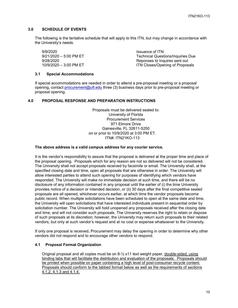# <span id="page-9-0"></span>**3.0 SCHEDULE OF EVENTS**

The following is the tentative schedule that will apply to this ITN, but may change in accordance with the University's needs.

9/9/2020<br>9/21/2020 – 5:00 PM ET 9/21/2020 – 7:00 PM ET

Technical Questions/Inquiries Due 9/28/2020 Reponses to Inquires sent out 10/9/2020 – 3:00 PM ET **ITN Closes/Opening of Proposals** 

#### <span id="page-9-1"></span>**3.1 Special Accommodations**

If special accommodations are needed in order to attend a pre-proposal meeting or a proposal opening, contact [procurement@ufl.edu](mailto:procurement@ufl.edu) three (3) business days prior to pre-proposal meeting or proposal opening.

# <span id="page-9-2"></span>**4.0 PROPOSAL RESPONSE AND PREPARATION INSTRUCTIONS**

Proposals must be delivered sealed to: University of Florida Procurement Services 971 Elmore Drive Gainesville, FL 32611-5250 on or prior to 10/9/2020 at 3:00 PM ET. ITN#: ITN21KO-113

#### **The above address is a valid campus address for any courier service.**

It is the vendor's responsibility to assure that the proposal is delivered at the proper time and place of the proposal opening. Proposals which for any reason are not so delivered will not be considered. The University shall not accept proposals received by facsimile or email. The University shall, at the specified closing date and time, open all proposals that are otherwise in order. The University will allow interested parties to attend such opening for purposes of identifying which vendors have responded. The University will make no immediate decision at such time, and there will be no disclosure of any information contained in any proposal until the earlier of (i) the time University provides notice of a decision or intended decision, or (ii) 30 days after the final competitive sealed proposals are all opened, whichever occurs earlier, at which time the vendor proposals become public record. When multiple solicitations have been scheduled to open at the same date and time, the University will open solicitations that have interested individuals present in sequential order by solicitation number. The University will hold unopened any proposals received after the closing date and time, and will not consider such proposals. The University reserves the right to retain or dispose of such proposals at its discretion; however, the University may return such proposals to their related vendors, but only at such vendor's request and at no cost or expense whatsoever to the University.

If only one proposal is received, Procurement may delay the opening in order to determine why other vendors did not respond and to encourage other vendors to respond.

#### <span id="page-9-3"></span>**4.1 Proposal Format Organization**

Original proposal and all copies must be on  $8\frac{1}{2}$  x11 text weight paper, double-sided, using binding tabs that will facilitate the distribution and evaluation of the proposals. Proposals should be printed when possible on paper containing a high level of post-consumer recycle content. Proposals should conform to the tabbed format below as well as the requirements of sections 4.1.2, 4.1.3 and 4.1.4.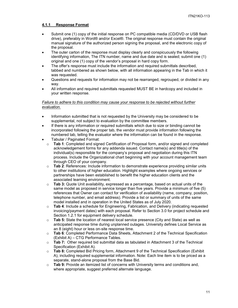# <span id="page-10-0"></span>**4.1.1 Response Format**

- Submit one (1) copy of the initial response on PC compatible media (CD/DVD or USB flash drive), preferably in Word® and/or Excel®. The original response must contain the original manual signature of the authorized person signing the proposal, and the electronic copy of the proposal.
- The outer carton of the response must display clearly and conspicuously the following identifying information, The ITN number, name and due date and is sealed; submit one (1) original and one (1) copy of the vendor's proposal in hard copy form.
- The offer's response must include the information and required submittals described, tabbed and numbered as shown below, with all information appearing in the Tab in which it was requested.
- Questions and requests for information may not be rearranged, regrouped, or divided in any way.
- All information and required submittals requested MUST BE in hardcopy and included in your written response.

#### *Failure to adhere to this condition may cause your response to be rejected without further evaluation.*

- Information submitted that is not requested by the University may be considered to be supplemental, not subject to evaluation by the committee members.
- If there is any information or required submittals which due to size or binding cannot be incorporated following the proper tab, the vendor must provide information following the numbered tab, telling the evaluator where the information can be found in the response.
- Tabular / Paginated Format:
	- o **Tab 1**: Completed and signed Certification of Proposal form, and/or signed and completed acknowledgement forms for any addenda issued. Contact name(s) and title(s) of the individual(s) responsible for the company's proposal and negotiation during this ITN process. Include the Organizational chart beginning with your account management team through CEO of your company.
	- o **Tab 2**: References: Include information to demonstrate experience providing similar units to other institutions of higher education. Highlight examples where ongoing services or partnerships have been established to benefit the higher education clients and the associated learning environment.
	- o **Tab 3:** Quote Unit availability, expressed as a percentage, based on actual units of the same model as proposed in service longer than five years. Provide a minimum of five (5) references that Owner can contact for verification of availability (name, company, position, telephone number, and email address). Provide a list or summary of units of the same model installed and in operation in the United States as of July 2020.
	- o **Tab 4**: Include a schedule for Engineering, Fabrication, and Delivery (indicating requested invoicing/payment dates) with each proposal. Refer to Section 3.0 for project schedule and Section 1.2.1 for equipment delivery schedule.
	- o **Tab 5:** State the location of nearest local service presence (City and State) as well as anticipated response time during unplanned outages. University defines Local Service as an 8 (eight) hour or less on-site response time.
	- o **Tab 6**: Completed Performance Data Sheets, Attachment 2 of the Technical Specification (Exhibit A) – CTG Performance Tables.
	- o **Tab 7:** Other required bid submittal data as tabulated in Attachment 3 of the Technical Specification (Exhibit A).
	- o **Tab 8:** Completed Bid Pricing form, Attachment 9 of the Technical Specification (Exhibit A), including required supplemental information. Note: Each line item is to be priced as a separate, stand-alone proposal from the Base Bid.
	- o **Tab 9:** Provide an itemized list of concerns with University terms and conditions and, where appropriate, suggest preferred alternate language.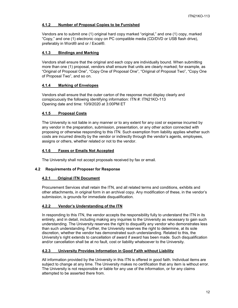# <span id="page-11-0"></span>**4.1.2 Number of Proposal Copies to be Furnished**

Vendors are to submit one (1) original hard copy marked "original," and one (1) copy, marked "Copy," and one (1) electronic copy on PC compatible media (CD/DVD or USB flash drive), preferably in Word® and or / Excel®.

# <span id="page-11-1"></span>**4.1.3 Bindings and Marking**

Vendors shall ensure that the original and each copy are individually bound. When submitting more than one (1) proposal, vendors shall ensure that units are clearly marked; for example, as "Original of Proposal One", "Copy One of Proposal One", "Original of Proposal Two", "Copy One of Proposal Two", and so on.

# <span id="page-11-2"></span>**4.1.4 Marking of Envelopes**

Vendors shall ensure that the outer carton of the response must display clearly and conspicuously the following identifying information: ITN #: ITN21KO-113 Opening date and time: 10/9/2020 at 3:00PM ET

# <span id="page-11-3"></span>**4.1.5 Proposal Costs**

The University is not liable in any manner or to any extent for any cost or expense incurred by any vendor in the preparation, submission, presentation, or any other action connected with proposing or otherwise responding to this ITN. Such exemption from liability applies whether such costs are incurred directly by the vendor or indirectly through the vendor's agents, employees, assigns or others, whether related or not to the vendor.

# <span id="page-11-4"></span>**4.1.6 Faxes or Emails Not Accepted**

The University shall not accept proposals received by fax or email.

#### <span id="page-11-6"></span><span id="page-11-5"></span>**4.2 Requirements of Proposer for Response**

#### **4.2.1 Original ITN Document**

Procurement Services shall retain the ITN, and all related terms and conditions, exhibits and other attachments, in original form in an archival copy. Any modification of these, in the vendor's submission, is grounds for immediate disqualification.

#### <span id="page-11-7"></span>**4.2.2 Vendor's Understanding of the ITN**

In responding to this ITN, the vendor accepts the responsibility fully to understand the ITN in its entirety, and in detail, including making any inquiries to the University as necessary to gain such understanding. The University reserves the right to disqualify any vendor who demonstrates less than such understanding. Further, the University reserves the right to determine, at its sole discretion, whether the vendor has demonstrated such understanding. Related to this, the University's right extends to cancellation of award if award has been made. Such disqualification and/or cancellation shall be at no fault, cost or liability whatsoever to the University.

# <span id="page-11-8"></span>**4.2.3 University Provides Information in Good Faith without Liability**

All information provided by the University in this ITN is offered in good faith. Individual items are subject to change at any time. The University makes no certification that any item is without error. The University is not responsible or liable for any use of the information, or for any claims attempted to be asserted there from.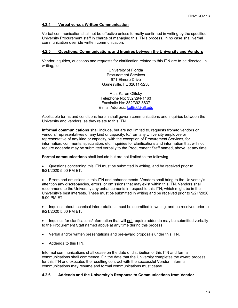# <span id="page-12-0"></span>**4.2.4 Verbal versus Written Communication**

Verbal communication shall not be effective unless formally confirmed in writing by the specified University Procurement staff in charge of managing this ITN's process. In no case shall verbal communication override written communication.

#### <span id="page-12-1"></span>**4.2.5 Questions, Communications and Inquires between the University and Vendors**

Vendor inquiries, questions and requests for clarification related to this ITN are to be directed, in writing, to:

> University of Florida Procurement Services 971 Elmore Drive Gainesville, FL 32611-5250

Attn: Karen Olitsky Telephone No: 352/294-1163 Facsimile No: 352/392-8837 E-mail Address: [koltisk@ufl.edu](mailto:koltisk@ufl.edu)

Applicable terms and conditions herein shall govern communications and inquiries between the University and vendors, as they relate to this ITN.

**Informal communications** shall include, but are not limited to, requests from/to vendors or vendors' representatives of any kind or capacity, to/from any University employee or representative of any kind or capacity, with the exception of Procurement Services, for information, comments, speculation, etc. Inquiries for clarifications and information that will not require addenda may be submitted verbally to the Procurement Staff named, above, at any time.

**Formal communications** shall include but are not limited to the following.

• Questions concerning this ITN must be submitted in writing, and be received prior to 9/21/2020 5:00 PM ET.

• Errors and omissions in this ITN and enhancements. Vendors shall bring to the University's attention any discrepancies, errors, or omissions that may exist within this ITN. Vendors shall recommend to the University any enhancements in respect to this ITN, which might be in the University's best interests. These must be submitted in writing and be received prior to 9/21/2020 5:00 PM ET.

• Inquiries about technical interpretations must be submitted in writing, and be received prior to 9/21/2020 5:00 PM ET.

• Inquiries for clarifications/information that will not require addenda may be submitted verbally to the Procurement Staff named above at any time during this process.

• Verbal and/or written presentations and pre-award proposals under this ITN.

• Addenda to this ITN.

Informal communications shall cease on the date of distribution of this ITN and formal communications shall commence. On the date that the University completes the award process for this ITN and executes the resulting contract with the successful Vendor, informal communications may resume and formal communications must cease.

#### <span id="page-12-2"></span>**4.2.6 Addenda and the University's Response to Communications from Vendor**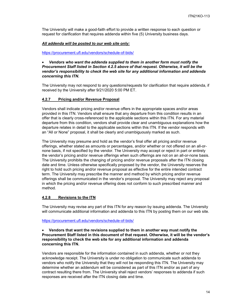The University will make a good-faith effort to provide a written response to each question or request for clarification that requires addenda within five (5) University business days.

#### *All addenda will be posted to our web site only:*

<https://procurement.ufl.edu/vendors/schedule-of-bids/>

#### • *Vendors who want the addenda supplied to them in another form must notify the Procurement Staff listed in Section 4.2.5 above of that request. Otherwise, it will be the vendor's responsibility to check the web site for any additional information and addenda concerning this ITN.*

The University may not respond to any questions/requests for clarification that require addenda, if received by the University after 9/21/2020 5:00 PM ET.

#### <span id="page-13-0"></span>**4.2.7 Pricing and/or Revenue Proposal**

Vendors shall indicate pricing and/or revenue offers in the appropriate spaces and/or areas provided in this ITN. Vendors shall ensure that any departure from this condition results in an offer that is clearly cross-referenced to the applicable sections within this ITN. For any material departure from this condition, vendors shall provide clear and unambiguous explanations how the departure relates in detail to the applicable sections within this ITN. If the vendor responds with an "All or None" proposal, it shall be clearly and unambiguously marked as such.

The University may presume and hold as the vendor's final offer all pricing and/or revenue offerings, whether stated as amounts or percentages, and/or whether or not offered on an all-ornone basis, if not specified by the vendor. The University may accept or reject in part or entirely the vendor's pricing and/or revenue offerings when such offerings are not on an all-or-none basis. The University prohibits the changing of pricing and/or revenue proposals after the ITN closing date and time. Unless otherwise specifically proposed by the vendor, the University reserves the right to hold such pricing and/or revenue proposal as effective for the entire intended contract term. The University may prescribe the manner and method by which pricing and/or revenue offerings shall be communicated in the vendor's proposal. The University may reject any proposal in which the pricing and/or revenue offering does not conform to such prescribed manner and method.

#### <span id="page-13-1"></span>**4.2.8 Revisions to the ITN**

The University may revise any part of this ITN for any reason by issuing addenda. The University will communicate additional information and addenda to this ITN by posting them on our web site.

<https://procurement.ufl.edu/vendors/schedule-of-bids/>

#### • **Vendors that want the revisions supplied to them in another way must notify the Procurement Staff listed in this document of that request. Otherwise, it will be the vendor's responsibility to check the web site for any additional information and addenda concerning this ITN.**

Vendors are responsible for the information contained in such addenda, whether or not they acknowledge receipt. The University is under no obligation to communicate such addenda to vendors who notify the University that they will not be responding this ITN. The University may determine whether an addendum will be considered as part of this ITN and/or as part of any contract resulting there from. The University shall reject vendors' responses to addenda if such responses are received after the ITN closing date and time.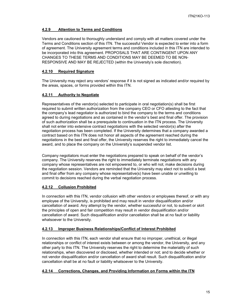# <span id="page-14-0"></span>**4.2.9 Attention to Terms and Conditions**

Vendors are cautioned to thoroughly understand and comply with all matters covered under the Terms and Conditions section of this ITN. The successful Vendor is expected to enter into a form of agreement. The University agreement terms and conditions included in this ITN are intended to be incorporated into this agreement. PROPOSALS THAT ARE CONTINGENT UPON ANY CHANGES TO THESE TERMS AND CONDITIONS MAY BE DEEMED TO BE NON-RESPONSIVE AND MAY BE REJECTED (within the University's sole discretion).

# <span id="page-14-1"></span>**4.2.10 Required Signature**

The University may reject any vendors' response if it is not signed as indicated and/or required by the areas, spaces, or forms provided within this ITN.

# <span id="page-14-2"></span>**4.2.11 Authority to Negotiate**

Representatives of the vendor(s) selected to participate in oral negotiation(s) shall be first required to submit written authorization from the company CEO or CFO attesting to the fact that the company's lead negotiator is authorized to bind the company to the terms and conditions agreed to during negotiations and as contained in the vendor's best and final offer. The provision of such authorization shall be a prerequisite to continuation in the ITN process. The University shall not enter into extensive contract negotiations with the selected vendor(s) after the negotiation process has been completed. If the University determines that a company awarded a contract based on this ITN does not honor all aspects of the agreement reached during the negotiations in the best and final offer, the University reserves the right to immediately cancel the award, and to place the company on the University's suspended vendor list.

Company negotiators must enter the negotiations prepared to speak on behalf of the vendor's company. The University reserves the right to immediately terminate negotiations with any company whose representatives are not empowered to, or who will not, make decisions during the negotiation session. Vendors are reminded that the University may elect not to solicit a best and final offer from any company whose representative(s) have been unable or unwilling to commit to decisions reached during the verbal negotiation process.

# <span id="page-14-3"></span>**4.2.12 Collusion Prohibited**

In connection with this ITN, vendor collusion with other vendors or employees thereof, or with any employee of the University, is prohibited and may result in vendor disqualification and/or cancellation of award. Any attempt by the vendor, whether successful or not, to subvert or skirt the principles of open and fair competition may result in vendor disqualification and/or cancellation of award. Such disqualification and/or cancellation shall be at no fault or liability whatsoever to the University.

# <span id="page-14-4"></span>**4.2.13 Improper Business Relationships/Conflict of Interest Prohibited**

In connection with this ITN, each vendor shall ensure that no improper, unethical, or illegal relationships or conflict of interest exists between or among the vendor, the University, and any other party to this ITN. The University reserves the right to determine the materiality of such relationships, when discovered or disclosed, whether intended or not; and to decide whether or not vendor disqualification and/or cancellation of award shall result. Such disqualification and/or cancellation shall be at no fault or liability whatsoever to the University.

# <span id="page-14-5"></span>**4.2.14 Corrections, Changes, and Providing Information on Forms within the ITN**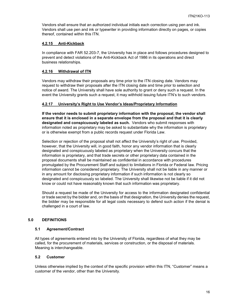Vendors shall ensure that an authorized individual initials each correction using pen and ink. Vendors shall use pen and ink or typewriter in providing information directly on pages, or copies thereof, contained within this ITN.

# <span id="page-15-0"></span>**4.2.15 Anti-Kickback**

In compliance with FAR 52.203-7, the University has in place and follows procedures designed to prevent and detect violations of the Anti-Kickback Act of 1986 in its operations and direct business relationships.

# <span id="page-15-1"></span>**4.2.16 Withdrawal of ITN**

Vendors may withdraw their proposals any time prior to the ITN closing date. Vendors may request to withdraw their proposals after the ITN closing date and time prior to selection and notice of award. The University shall have sole authority to grant or deny such a request. In the event the University grants such a request, it may withhold issuing future ITN's to such vendors.

# <span id="page-15-2"></span>**4.2.17 University's Right to Use Vendor's Ideas/Proprietary Information**

**If the vendor needs to submit proprietary information with the proposal, the vendor shall ensure that it is enclosed in a separate envelope from the proposal and that it is clearly designated and conspicuously labeled as such.** Vendors who submit responses with information noted as proprietary may be asked to substantiate why the information is proprietary or is otherwise exempt from a public records request under Florida Law.

Selection or rejection of the proposal shall not affect the University's right of use. Provided, however, that the University will, in good faith, honor any vendor information that is clearly designated and conspicuously labeled as proprietary when the University concurs that the information is proprietary, and that trade secrets or other proprietary data contained in the proposal documents shall be maintained as confidential in accordance with procedures promulgated by the Procurement Staff and subject to limitations in Florida or Federal law. Pricing information cannot be considered proprietary. The University shall not be liable in any manner or in any amount for disclosing proprietary information if such information is not clearly so designated and conspicuously so labeled. The University shall likewise not be liable if it did not know or could not have reasonably known that such information was proprietary.

Should a request be made of the University for access to the information designated confidential or trade secret by the bidder and, on the basis of that designation, the University denies the request, the bidder may be responsible for all legal costs necessary to defend such action if the denial is challenged in a court of law.

# <span id="page-15-3"></span>**5.0 DEFINITIONS**

#### <span id="page-15-4"></span>**5.1 Agreement/Contract**

All types of agreements entered into by the University of Florida, regardless of what they may be called, for the procurement of materials, services or construction, or the disposal of materials. Meaning is interchangeable.

#### <span id="page-15-5"></span>**5.2 Customer**

Unless otherwise implied by the context of the specific provision within this ITN, "Customer" means a customer of the vendor, other than the University.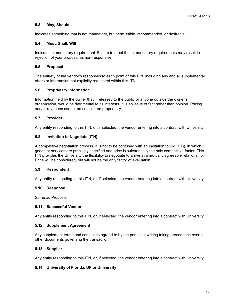# <span id="page-16-0"></span>**5.3 May, Should**

Indicates something that is not mandatory, but permissible, recommended, or desirable.

#### <span id="page-16-1"></span>**5.4 Must, Shall, Will**

Indicates a mandatory requirement. Failure to meet these mandatory requirements may result in rejection of your proposal as non-responsive.

#### <span id="page-16-2"></span>**5.5 Proposal**

The entirety of the vendor's responses to each point of this ITN, including any and all supplemental offers or information not explicitly requested within this ITN.

#### <span id="page-16-3"></span>**5.6 Proprietary Information**

Information held by the owner that if released to the public or anyone outside the owner's organization, would be detrimental to its interests. It is an issue of fact rather than opinion. Pricing and/or revenues cannot be considered proprietary.

#### <span id="page-16-4"></span>**5.7 Provider**

Any entity responding to this ITN, or, if selected, the vendor entering into a contract with University.

# <span id="page-16-5"></span>**5.8 Invitation to Negotiate (ITN)**

A competitive negotiation process. It is not to be confused with an Invitation to Bid (ITB), in which goods or services are precisely specified and price is substantially the only competitive factor. This ITN provides the University the flexibility to negotiate to arrive at a mutually agreeable relationship. Price will be considered, but will not be the only factor of evaluation.

#### <span id="page-16-6"></span>**5.9 Respondent**

Any entity responding to this ITN, or, if selected, the vendor entering into a contract with University.

#### <span id="page-16-7"></span>**5.10 Response**

Same as Proposal

#### <span id="page-16-8"></span>**5.11 Successful Vendor**

Any entity responding to this ITN, or, if selected, the vendor entering into a contract with University.

#### <span id="page-16-9"></span>**5.12 Supplement Agreement**

Any supplement terms and conditions agreed to by the parties in writing taking precedence over all other documents governing the transaction.

#### <span id="page-16-10"></span>**5.13 Supplier**

Any entity responding to this ITN, or, if selected, the vendor entering into a contract with University.

# <span id="page-16-11"></span>**5.14 University of Florida, UF or University**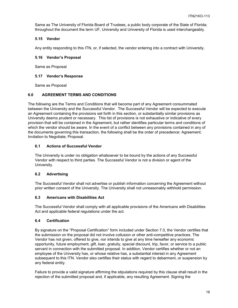Same as The University of Florida Board of Trustees, a public body corporate of the State of Florida; throughout the document the term UF, University and University of Florida is used interchangeably.

# <span id="page-17-0"></span>**5.15 Vendor**

Any entity responding to this ITN, or, if selected, the vendor entering into a contract with University.

# <span id="page-17-1"></span>**5.16 Vendor's Proposal**

Same as Proposal

# <span id="page-17-2"></span>**5.17 Vendor's Response**

Same as Proposal

# <span id="page-17-3"></span>**6.0 AGREEMENT TERMS AND CONDITIONS**

The following are the Terms and Conditions that will become part of any Agreement consummated between the University and the Successful Vendor. The Successful Vendor will be expected to execute an Agreement containing the provisions set forth in this section, or substantially similar provisions as University deems prudent or necessary. This list of provisions is not exhaustive or indicative of every provision that will be contained in the Agreement, but rather identifies particular terms and conditions of which the vendor should be aware. In the event of a conflict between any provisions contained in any of the documents governing this transaction, the following shall be the order of precedence: Agreement; Invitation to Negotiate; Proposal.

# <span id="page-17-4"></span>**6.1 Actions of Successful Vendor**

The University is under no obligation whatsoever to be bound by the actions of any Successful Vendor with respect to third parties. The Successful Vendor is not a division or agent of the University.

# <span id="page-17-5"></span>**6.2 Advertising**

The Successful Vendor shall not advertise or publish information concerning the Agreement without prior written consent of the University. The University shall not unreasonably withhold permission.

# <span id="page-17-6"></span>**6.3 Americans with Disabilities Act**

The Successful Vendor shall comply with all applicable provisions of the Americans with Disabilities Act and applicable federal regulations under the act.

# <span id="page-17-7"></span>**6.4 Certification**

By signature on the "Proposal Certification" form included under Section 7.0, the Vendor certifies that the submission on the proposal did not involve collusion or other anti-competitive practices. The Vendor has not given, offered to give, nor intends to give at any time hereafter any economic opportunity, future employment, gift, loan, gratuity, special discount, trip, favor, or service to a public servant in connection with the submitted proposal. In addition, Vendor certifies whether or not an employee of the University has, or whose relative has, a substantial interest in any Agreement subsequent to this ITN. Vendor also certifies their status with regard to debarment, or suspension by any federal entity.

Failure to provide a valid signature affirming the stipulations required by this clause shall result in the rejection of the submitted proposal and, if applicable, any resulting Agreement. Signing the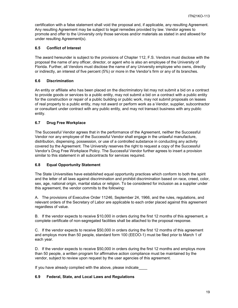certification with a false statement shall void the proposal and, if applicable, any resulting Agreement. Any resulting Agreement may be subject to legal remedies provided by law. Vendor agrees to promote and offer to the University only those services and/or materials as stated in and allowed for under resulting Agreement(s).

# <span id="page-18-0"></span>**6.5 Conflict of Interest**

The award hereunder is subject to the provisions of Chapter 112, F.S. Vendors must disclose with the proposal the name of any officer, director, or agent who is also an employee of the University of Florida. Further, all Vendors must disclose the name of any University employee who owns, directly or indirectly, an interest of five percent (5%) or more in the Vendor's firm or any of its branches.

# <span id="page-18-1"></span>**6.6 Discrimination**

An entity or affiliate who has been placed on the discriminatory list may not submit a bid on a contract to provide goods or services to a public entity, may not submit a bid on a contract with a public entity for the construction or repair of a public building or public work, may not submit proposals on leases of real property to a public entity, may not award or perform work as a Vendor, supplier, subcontractor or consultant under contract with any public entity, and may not transact business with any public entity.

# <span id="page-18-2"></span>**6.7 Drug Free Workplace**

The Successful Vendor agrees that in the performance of the Agreement, neither the Successful Vendor nor any employee of the Successful Vendor shall engage in the unlawful manufacture, distribution, dispensing, possession, or use of a controlled substance in conducting any activity covered by the Agreement. The University reserves the right to request a copy of the Successful Vendor's Drug Free Workplace Policy. The Successful Vendor further agrees to insert a provision similar to this statement in all subcontracts for services required.

# <span id="page-18-3"></span>**6.8 Equal Opportunity Statement**

The State Universities have established equal opportunity practices which conform to both the spirit and the letter of all laws against discrimination and prohibit discrimination based on race, creed, color, sex, age, national origin, marital status or religion. To be considered for inclusion as a supplier under this agreement, the vendor commits to the following:

A. The provisions of Executive Order 11246, September 24, 1966, and the rules, regulations, and relevant orders of the Secretary of Labor are applicable to each order placed against this agreement regardless of value.

B. If the vendor expects to receive \$10,000 in orders during the first 12 months of this agreement, a complete certificate of non-segregated facilities shall be attached to the proposal response.

C. If the vendor expects to receive \$50,000 in orders during the first 12 months of this agreement and employs more than 50 people, standard form 100 (EEOO-1) must be filed prior to March 1 of each year.

D. If the vendor expects to receive \$50,000 in orders during the first 12 months and employs more than 50 people, a written program for affirmative action compliance must be maintained by the vendor, subject to review upon request by the user agencies of this agreement.

If you have already complied with the above, please indicate

#### <span id="page-18-4"></span>**6.9 Federal, State, and Local Laws and Regulations**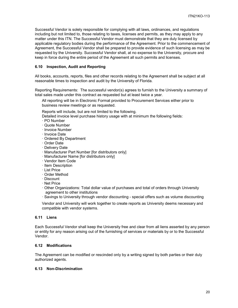Successful Vendor is solely responsible for complying with all laws, ordinances, and regulations including but not limited to, those relating to taxes, licenses and permits, as they may apply to any matter under this ITN. The Successful Vendor must demonstrate that they are duly licensed by applicable regulatory bodies during the performance of the Agreement. Prior to the commencement of Agreement, the Successful Vendor shall be prepared to provide evidence of such licensing as may be requested by the University. Successful Vendor shall, at no expense to the University, procure and keep in force during the entire period of the Agreement all such permits and licenses.

# <span id="page-19-0"></span>**6.10 Inspection, Audit and Reporting**

All books, accounts, reports, files and other records relating to the Agreement shall be subject at all reasonable times to inspection and audit by the University of Florida.

Reporting Requirements: The successful vendor(s) agrees to furnish to the University a summary of total sales made under this contract as requested but at least twice a year.

All reporting will be in Electronic Format provided to Procurement Services either prior to business review meetings or as requested.

Reports will include, but are not limited to the following.

Detailed invoice level purchase history usage with at minimum the following fields:

- · PO Number
- · Quote Number
- · Invoice Number
- · Invoice Date
- · Ordered By Department
- · Order Date
- · Delivery Date
- · Manufacturer Part Number [for distributors only]
- · Manufacturer Name [for distributors only]
- · Vendor Item Code
- · Item Description
- · List Price
- · Order Method
- · Discount
- · Net Price
- · Other Organizations: Total dollar value of purchases and total of orders through University agreement to other institutions
- · Savings to University through vendor discounting special offers such as volume discounting

Vendor and University will work together to create reports as University deems necessary and compatible with vendor systems.

#### <span id="page-19-1"></span>**6.11 Liens**

Each Successful Vendor shall keep the University free and clear from all liens asserted by any person or entity for any reason arising out of the furnishing of services or materials by or to the Successful Vendor.

#### <span id="page-19-2"></span>**6.12 Modifications**

The Agreement can be modified or rescinded only by a writing signed by both parties or their duly authorized agents.

#### <span id="page-19-3"></span>**6.13 Non-Discrimination**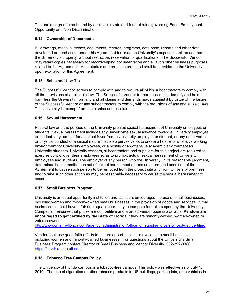The parties agree to be bound by applicable state and federal rules governing Equal Employment Opportunity and Non-Discrimination.

# <span id="page-20-0"></span>**6.14 Ownership of Documents**

All drawings, maps, sketches, documents, records, programs, data base, reports and other data developed or purchased, under this Agreement for or at the University's expense shall be and remain the University's property, without restriction, reservation or qualifications. The Successful Vendor may retain copies necessary for recordkeeping documentation and all such other business purposes related to the Agreement. All materials and products produced shall be provided to the University upon expiration of this Agreement.

# <span id="page-20-1"></span>**6.15 Sales and Use Tax**

The Successful Vendor agrees to comply with and to require all of his subcontractors to comply with all the provisions of applicable law. The Successful Vendor further agrees to indemnify and hold harmless the University from any and all claims and demands made against it by virtue of the failure of the Successful Vendor or any subcontractors to comply with the provisions of any and all said laws. The University is exempt from state sales and use tax.

# <span id="page-20-2"></span>**6.16 Sexual Harassment**

Federal law and the policies of the University prohibit sexual harassment of University employees or students. Sexual harassment includes any unwelcome sexual advance toward a University employee or student, any request for a sexual favor from a University employee or student, or any other verbal or physical conduct of a sexual nature that is so pervasive as to create a hostile or offensive working environment for University employees, or a hostile or an offensive academic environment for University students. University vendors, subcontractors and suppliers for this project are required to exercise control over their employees so as to prohibit acts of sexual harassment of University employees and students. The employer of any person who the University, in its reasonable judgment, determines has committed an act of sexual harassment agrees as a term and condition of the Agreement to cause such person to be removed from the project site and from University premises and to take such other action as may be reasonably necessary to cause the sexual harassment to cease.

# <span id="page-20-3"></span>**6.17 Small Business Program**

University is an equal opportunity institution and, as such, encourages the use of small businesses, including women and minority-owned small businesses in the provision of goods and services. Small businesses should have a fair and equal opportunity to compete for dollars spent by the University. Competition ensures that prices are competitive and a broad vendor base is available. **Vendors are encouraged to get certified by the State of Florida** if they are minority-owned, woman-owned or veteran-owned:

[http://www.dms.myflorida.com/agency\\_administration/office\\_of\\_supplier\\_diversity\\_osd/get\\_certified](http://www.dms.myflorida.com/agency_administration/office_of_supplier_diversity_osd/get_certified)

Vendor shall use good faith efforts to ensure opportunities are available to small businesses, including women and minority-owned businesses. For questions about the University's Small Business Program contact Director of Small Business and Vendor Diversity, 352-392-0380, <https://sbvdr.admin.ufl.edu/>

#### <span id="page-20-4"></span>**6.18 Tobacco Free Campus Policy**

The University of Florida campus is a tobacco-free campus. This policy was effective as of July 1, 2010. The use of cigarettes or other tobacco products in UF buildings, parking lots, or in vehicles in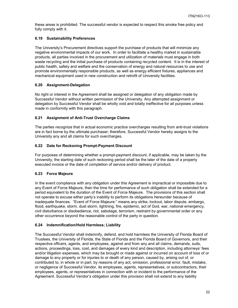these areas is prohibited. The successful vendor is expected to respect this smoke free policy and fully comply with it.

# <span id="page-21-0"></span>**6.19 Sustainability Preferences**

The University's Procurement directives support the purchase of products that will minimize any negative environmental impacts of our work. In order to facilitate a healthy market in sustainable products, all parties involved in the procurement and utilization of materials must engage in both waste recycling and the initial purchase of products containing recycled content. It is in the interest of public health, safety and welfare and the conservation of energy and natural resources to use and promote environmentally responsible products, as well as energy efficient fixtures, appliances and mechanical equipment used in new construction and retrofit of University facilities.

# <span id="page-21-1"></span>**6.20 Assignment-Delegation**

No right or interest in the Agreement shall be assigned or delegation of any obligation made by Successful Vendor without written permission of the University. Any attempted assignment or delegation by Successful Vendor shall be wholly void and totally ineffective for all purposes unless made in conformity with this paragraph.

# <span id="page-21-2"></span>**6.21 Assignment of Anti-Trust Overcharge Claims**

The parties recognize that in actual economic practice overcharges resulting from anti-trust violations are in fact borne by the ultimate purchaser; therefore, Successful Vendor hereby assigns to the University any and all claims for such overcharges.

# <span id="page-21-3"></span>**6.22 Date for Reckoning Prompt-Payment Discount**

For purposes of determining whether a prompt-payment discount, if applicable, may be taken by the University, the starting date of such reckoning period shall be the later of the date of a properly executed invoice or the date of completion of service and/or delivery of product.

# <span id="page-21-4"></span>**6.23 Force Majeure**

In the event compliance with any obligation under this Agreement is impractical or impossible due to any Event of Force Majeure, then the time for performance of such obligation shall be extended for a period equivalent to the duration of the Event of Force Majeure. The provisions of this section shall not operate to excuse either party's inability to perform its obligations hereunder because of inadequate finances. "Event of Force Majeure:" means any strike, lockout, labor dispute, embargo, flood, earthquake, storm, dust storm, lightning, fire, epidemic, act of God, war, national emergency, civil disturbance or disobedience, riot, sabotage, terrorism, restraint by governmental order or any other occurrence beyond the reasonable control of the party in question.

#### <span id="page-21-5"></span>**6.24 Indemnification/Hold Harmless; Liability**

The Successful Vendor shall indemnify, defend, and hold harmless the University of Florida Board of Trustees, the University of Florida, the State of Florida and the Florida Board of Governors, and their respective officers, agents, and employees, against and from any and all claims, demands, suits, actions, proceedings, loss, cost, and damages of every kind and description, including attorneys' fees and/or litigation expenses, which may be brought or made against or incurred on account of loss of or damage to any property or for injuries to or death of any person, caused by, arising out of, or contributed to, in whole or in part, by reasons of any act, omission, professional error, fault, mistake, or negligence of Successful Vendor, its employees, agents, representatives, or subcontractors, their employees, agents, or representatives in connection with or incident to the performance of the Agreement. Successful Vendor's obligation under this provision shall not extend to any liability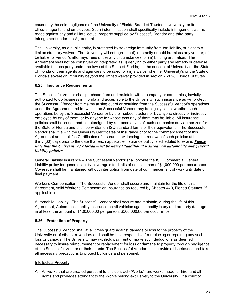caused by the sole negligence of the University of Florida Board of Trustees, University, or its officers, agents, and employees. Such indemnification shall specifically include infringement claims made against any and all intellectual property supplied by Successful Vendor and third-party infringement under the Agreement.

The University, as a public entity, is protected by sovereign immunity from tort liability, subject to a limited statutory waiver. The University will not agree to (i) indemnify or hold harmless any vendor; (ii) be liable for vendor's attorneys' fees under any circumstances; or (iii) binding arbitration. The Agreement shall not be construed or interpreted as (i) denying to either party any remedy or defense available to such party under the laws of the State of Florida; (ii) the consent of University or the State of Florida or their agents and agencies to be sued; or (iii) a waiver of either University's or the State of Florida's sovereign immunity beyond the limited waiver provided in section 768.28, Florida Statutes.

# <span id="page-22-0"></span>**6.25 Insurance Requirements**

The Successful Vendor shall purchase from and maintain with a company or companies, lawfully authorized to do business in Florida and acceptable to the University, such insurance as will protect the Successful Vendor from claims arising out of or resulting from the Successful Vendor's operations under the Agreement and for which the Successful Vendor may be legally liable, whether such operations be by the Successful Vendor or by their subcontractors or by anyone directly or indirectly employed by any of them, or by anyone for whose acts any of them may be liable. All insurance policies shall be issued and countersigned by representatives of such companies duly authorized for the State of Florida and shall be written on ISO standard forms or their equivalents. The Successful Vendor shall file with the University Certificates of Insurance prior to the commencement of this Agreement and shall file Certificates of Insurance evidencing the renewal of such policies at least thirty (30) days prior to the date that each applicable insurance policy is scheduled to expire. *Please note that the University of Florida must be named "additional insured" on automobile and general liability policies.*

General Liability Insurance – The Successful Vendor shall provide the ISO Commercial General Liability policy for general liability coverage's for limits of not less than of \$1,000,000 per occurrence. Coverage shall be maintained without interruption from date of commencement of work until date of final payment.

Worker's Compensation - The Successful Vendor shall secure and maintain for the life of this Agreement, valid Worker's Compensation Insurance as required by Chapter 440, Florida Statutes (if applicable.)

Automobile Liability - The Successful Vendor shall secure and maintain, during the life of this Agreement, Automobile Liability insurance on all vehicles against bodily injury and property damage in at least the amount of \$100,000.00 per person, \$500,000.00 per occurrence.

#### <span id="page-22-1"></span>**6.26 Protection of Property**

The Successful Vendor shall at all times guard against damage or loss to the property of the University or of others or vendors and shall be held responsible for replacing or repairing any such loss or damage. The University may withhold payment or make such deductions as deemed necessary to insure reimbursement or replacement for loss or damage to property through negligence of the Successful Vendor or their agents. The Successful Vendor shall provide all barricades and take all necessary precautions to protect buildings and personnel.

#### Intellectual Property

A. All works that are created pursuant to this contract ("Works") are works made for hire, and all rights and privileges attendant to the Works belong exclusively to the University. If a court of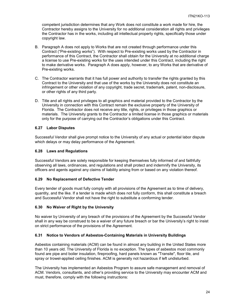competent jurisdiction determines that any Work does not constitute a work made for hire, the Contractor hereby assigns to the University for no additional consideration all rights and privileges the Contractor has in the works, including all intellectual property rights, specifically those under copyright law.

- B. Paragraph A does not apply to Works that are not created through performance under this Contract ("Pre-existing works"). With respect to Pre-existing works used by the Contractor in performance of this Contract, the Contractor shall obtain for the University at no additional charge a license to use Pre-existing works for the uses intended under this Contract, including the right to make derivative works. Paragraph A does apply, however, to any Works that are derivative of Pre-existing works.
- C. The Contractor warrants that it has full power and authority to transfer the rights granted by this Contract to the University and that use of the works by the University does not constitute an infringement or other violation of any copyright, trade secret, trademark, patent, non-disclosure, or other rights of any third party.
- D. Title and all rights and privileges to all graphics and material provided to the Contractor by the University in connection with this Contract remain the exclusive property of the University of Florida. The Contractor does not receive any title, rights, or privileges in those graphics or materials. The University grants to the Contractor a limited license in those graphics or materials only for the purpose of carrying out the Contractor's obligations under this Contract.

# <span id="page-23-0"></span>**6.27 Labor Disputes**

Successful Vendor shall give prompt notice to the University of any actual or potential labor dispute which delays or may delay performance of the Agreement.

#### <span id="page-23-1"></span>**6.28 Laws and Regulations**

Successful Vendors are solely responsible for keeping themselves fully informed of and faithfully observing all laws, ordinances, and regulations and shall protect and indemnify the University, its officers and agents against any claims of liability arising from or based on any violation thereof.

#### <span id="page-23-2"></span>**6.29 No Replacement of Defective Tender**

Every tender of goods must fully comply with all provisions of the Agreement as to time of delivery, quantity, and the like. If a tender is made which does not fully conform, this shall constitute a breach and Successful Vendor shall not have the right to substitute a conforming tender.

#### <span id="page-23-3"></span>**6.30 No Waiver of Right by the University**

No waiver by University of any breach of the provisions of the Agreement by the Successful Vendor shall in any way be construed to be a waiver of any future breach or bar the University's right to insist on strict performance of the provisions of the Agreement.

#### <span id="page-23-4"></span>**6.31 Notice to Vendors of Asbestos-Containing Materials in University Buildings**

Asbestos containing materials (ACM) can be found in almost any building in the United States more than 10 years old. The University of Florida is no exception. The types of asbestos most commonly found are pipe and boiler insulation, fireproofing, hard panels known as "Transite", floor tile, and spray or trowel-applied ceiling finishes. ACM is generally not hazardous if left undisturbed.

The University has implemented an Asbestos Program to assure safe management and removal of ACM. Vendors, consultants, and other's providing service to the University may encounter ACM and must, therefore, comply with the following instructions: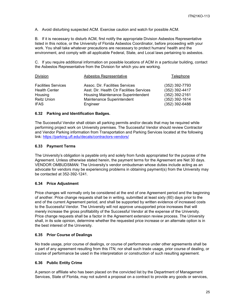A. Avoid disturbing suspected ACM. Exercise caution and watch for possible ACM.

B. If it is necessary to disturb ACM, first notify the appropriate Division Asbestos Representative listed in this notice, or the University of Florida Asbestos Coordinator, before proceeding with your work. You shall take whatever precautions are necessary to protect humans' health and the environment, and comply with all applicable Federal, State, and Local laws pertaining to asbestos.

C. If you require additional information on possible locations of ACM in a particular building, contact the Asbestos Representative from the Division for which you are working.

| Division                                                                                    | Asbestos Representative                                                                                                                                      | Telephone                                                                                |
|---------------------------------------------------------------------------------------------|--------------------------------------------------------------------------------------------------------------------------------------------------------------|------------------------------------------------------------------------------------------|
| <b>Facilities Services</b><br><b>Health Center</b><br>Housing<br>Reitz Union<br><b>IFAS</b> | Assoc. Dir. Facilities Services<br>Asst. Dir. Health Ctr Facilities Services<br>Housing Maintenance Superintendent<br>Maintenance Superintendent<br>Engineer | (352) 392-7793<br>(352) 392-4417<br>(352) 392-2161<br>(352) 392-1614<br>$(352)$ 392-6488 |
|                                                                                             |                                                                                                                                                              |                                                                                          |

# <span id="page-24-0"></span>**6.32 Parking and Identification Badges.**

The Successful Vendor shall obtain all parking permits and/or decals that may be required while performing project work on University premises. The Successful Vendor should review Contractor and Vendor Parking information from Transportation and Parking Services located at the following link:<https://parking.ufl.edu/decals/contractors-vendors/>

# <span id="page-24-1"></span>**6.33 Payment Terms**

The University's obligation is payable only and solely from funds appropriated for the purpose of the Agreement. Unless otherwise stated herein, the payment terms for the Agreement are Net 30 days. VENDOR OMBUDSMAN: The University's vendor ombudsman whose duties include acting as an advocate for vendors may be experiencing problems in obtaining payment(s) from the University may be contacted at 352-392-1241.

# <span id="page-24-2"></span>**6.34 Price Adjustment**

Price changes will normally only be considered at the end of one Agreement period and the beginning of another. Price change requests shall be in writing, submitted at least sixty (60) days prior to the end of the current Agreement period, and shall be supported by written evidence of increased costs to the Successful Vendor. The University will not approve unsupported price increases that will merely increase the gross profitability of the Successful Vendor at the expense of the University. Price change requests shall be a factor in the Agreement extension review process. The University shall, in its sole opinion, determine whether the requested price increase or an alternate option is in the best interest of the University.

# <span id="page-24-3"></span>**6.35 Prior Course of Dealings**

No trade usage, prior course of dealings, or course of performance under other agreements shall be a part of any agreement resulting from this ITN; nor shall such trade usage, prior course of dealing, or course of performance be used in the interpretation or construction of such resulting agreement.

#### <span id="page-24-4"></span>**6.36 Public Entity Crime**

A person or affiliate who has been placed on the convicted list by the Department of Management Services, State of Florida, may not submit a proposal on a contract to provide any goods or services,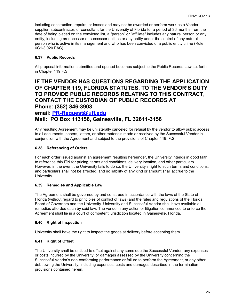including construction, repairs, or leases and may not be awarded or perform work as a Vendor, supplier, subcontractor, or consultant for the University of Florida for a period of 36 months from the date of being placed on the convicted list, a "person" or "affiliate" includes any natural person or any entity, including predecessor or successor entities or any entity under the control of any natural person who is active in its management and who has been convicted of a public entity crime (Rule 6C1-3.020 FAC).

# <span id="page-25-0"></span>**6.37 Public Records**

All proposal information submitted and opened becomes subject to the Public Records Law set forth in Chapter 119 F.S.

# **IF THE VENDOR HAS QUESTIONS REGARDING THE APPLICATION OF CHAPTER 119, FLORIDA STATUTES, TO THE VENDOR'S DUTY TO PROVIDE PUBLIC RECORDS RELATING TO THIS CONTRACT, CONTACT THE CUSTODIAN OF PUBLIC RECORDS AT Phone: (352) 846-3903 email: [PR-Request@ufl.edu](mailto:PR-Request@ufl.edu)**

# **Mail: PO Box 113156, Gainesville, FL 32611-3156**

Any resulting Agreement may be unilaterally canceled for refusal by the vendor to allow public access to all documents, papers, letters, or other materials made or received by the Successful Vendor in conjunction with the Agreement and subject to the provisions of Chapter 119. F.S.

# <span id="page-25-1"></span>**6.38 Referencing of Orders**

For each order issued against an agreement resulting hereunder, the University intends in good faith to reference this ITN for pricing, terms and conditions, delivery location, and other particulars. However, in the event the University fails to do so, the University's right to such terms and conditions, and particulars shall not be affected, and no liability of any kind or amount shall accrue to the University.

#### <span id="page-25-2"></span>**6.39 Remedies and Applicable Law**

The Agreement shall be governed by and construed in accordance with the laws of the State of Florida (without regard to principles of conflict of laws) and the rules and regulations of the Florida Board of Governors and the University. University and Successful Vendor shall have available all remedies afforded each by said law. The venue in any action or litigation commenced to enforce the Agreement shall lie in a court of competent jurisdiction located in Gainesville, Florida.

#### <span id="page-25-3"></span>**6.40 Right of Inspection**

University shall have the right to inspect the goods at delivery before accepting them.

#### <span id="page-25-4"></span>**6.41 Right of Offset**

The University shall be entitled to offset against any sums due the Successful Vendor, any expenses or costs incurred by the University, or damages assessed by the University concerning the Successful Vendor's non-conforming performance or failure to perform the Agreement, or any other debt owing the University, including expenses, costs and damages described in the termination provisions contained herein.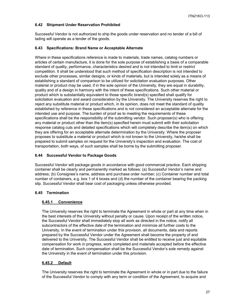# <span id="page-26-0"></span>**6.42 Shipment Under Reservation Prohibited**

Successful Vendor is not authorized to ship the goods under reservation and no tender of a bill of lading will operate as a tender of the goods.

# <span id="page-26-1"></span>**6.43 Specifications: Brand Name or Acceptable Alternate**

Where in these specifications reference is made to materials, trade names, catalog numbers or articles of certain manufacture, it is done for the sole purpose of establishing a basis of a comparable standard of quality, performance, characteristics desired and is not intended to limit or restrict competition. It shall be understood that such method of specification description is not intended to exclude other processes, similar designs, or kinds of materials, but is intended solely as a means of establishing a standard of comparison to be utilized for solicitation evaluation purposes. Other material or product may be used, if in the sole opinion of the University, they are equal in durability, quality and of a design in harmony with the intent of these specifications. Such other material or product which is substantially equivalent to those specific brand(s) specified shall qualify for solicitation evaluation and award consideration by the University. The University reserves the right to reject any substitute material or product which, in its opinion, does not meet the standard of quality established by reference in these specifications and is not considered an acceptable alternate for the intended use and purpose. The burden of proof as to meeting the requirements of these specifications shall be the responsibility of the submitting vendor. Such proposer(s) who is offering any material or product other than the item(s) specified herein must submit with their solicitation response catalog cuts and detailed specifications which will completely describe the item(s) on which they are offering for an acceptable alternate determination by the University. Where the proposer proposes to substitute a material or product which is not known to the University, he/she shall be prepared to submit samples on request for the University's inspection and evaluation. The cost of transportation, both ways, of such samples shall be borne by the submitting proposer.

# <span id="page-26-2"></span>**6.44 Successful Vendor to Package Goods**

Successful Vendor will package goods in accordance with good commercial practice. Each shipping container shall be clearly and permanently marked as follows: (a) Successful Vendor's name and address; (b) Consignee's name, address and purchase order number; (c) Container number and total number of containers, e.g. box 1 of 4 boxes and (d) the number of the container bearing the packing slip. Successful Vendor shall bear cost of packaging unless otherwise provided.

# <span id="page-26-4"></span><span id="page-26-3"></span>**6.45 Termination**

# **6.45.1 Convenience**

The University reserves the right to terminate the Agreement in whole or part at any time when in the best interests of the University without penalty or cause. Upon receipt of the written notice, the Successful Vendor shall immediately stop all work as directed in the notice, notify all subcontractors of the effective date of the termination and minimize all further costs to the University. In the event of termination under this provision, all documents, data and reports prepared by the Successful Vendor under the Agreement shall become the property of and delivered to the University. The Successful Vendor shall be entitled to receive just and equitable compensation for work in progress, work completed and materials accepted before the effective date of termination. Such compensation shall be the Successful Vendor's sole remedy against the University in the event of termination under this provision.

# <span id="page-26-5"></span>**6.45.2 Default**

The University reserves the right to terminate the Agreement in whole or in part due to the failure of the Successful Vendor to comply with any term or condition of the Agreement, to acquire and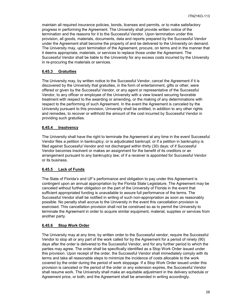maintain all required insurance policies, bonds, licenses and permits, or to make satisfactory progress in performing the Agreement. The University shall provide written notice of the termination and the reasons for it to the Successful Vendor. Upon termination under this provision, all goods, materials, documents, data and reports prepared by the Successful Vendor under the Agreement shall become the property of and be delivered to the University on demand. The University may, upon termination of the Agreement, procure, on terms and in the manner that it deems appropriate, materials, or services to replace those under the Agreement. The Successful Vendor shall be liable to the University for any excess costs incurred by the University in re-procuring the materials or services.

#### <span id="page-27-0"></span>**6.45.3 Gratuities**

The University may, by written notice to the Successful Vendor, cancel the Agreement if it is discovered by the University that gratuities, in the form of entertainment, gifts or other, were offered or given by the Successful Vendor, or any agent or representative of the Successful Vendor, to any officer or employee of the University with a view toward securing favorable treatment with respect to the awarding or amending, or the making of any determinations with respect to the performing of such Agreement. In the event the Agreement is canceled by the University pursuant to this provision, University shall be entitled, in addition to any other rights and remedies, to recover or withhold the amount of the cost incurred by Successful Vendor in providing such gratuities.

# <span id="page-27-1"></span>**6.45.4 Insolvency**

The University shall have the right to terminate the Agreement at any time in the event Successful Vendor files a petition in bankruptcy; or is adjudicated bankrupt; or if a petition in bankruptcy is filed against Successful Vendor and not discharged within thirty (30) days; of if Successful Vendor becomes insolvent or makes an assignment for the benefit of its creditors or an arrangement pursuant to any bankruptcy law; of if a receiver is appointed for Successful Vendor or its business.

#### <span id="page-27-2"></span>**6.45.5 Lack of Funds**

The State of Florida's and UF's performance and obligation to pay under this Agreement is contingent upon an annual appropriation by the Florida State Legislature. The Agreement may be canceled without further obligation on the part of the University of Florida in the event that sufficient appropriated funding is unavailable to assure full performance of the terms. The Successful Vendor shall be notified in writing of such non-appropriation as soon as reasonably possible. No penalty shall accrue to the University in the event this cancellation provision is exercised. This cancellation provision shall not be construed so as to permit the University to terminate the Agreement in order to acquire similar equipment, material, supplies or services from another party.

#### <span id="page-27-3"></span>**6.45.6 Stop Work Order**

The University may at any time, by written order to the Successful vendor, require the Successful Vendor to stop all or any part of the work called for by the Agreement for a period of ninety (90) days after the order is delivered to the Successful Vendor, and for any further period to which the parties may agree. The order shall be specifically identified as a Stop Work Order issued under this provision. Upon receipt of the order, the Successful Vendor shall immediately comply with its terms and take all reasonable steps to minimize the incidence of costs allocable to the work covered by the order during the period of work stoppage. If a Stop Work Order issued under this provision is canceled or the period of the order or any extension expires, the Successful Vendor shall resume work. The University shall make an equitable adjustment in the delivery schedule or Agreement price, or both, and the Agreement shall be amended in writing accordingly.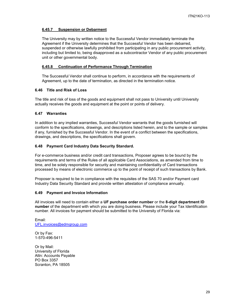# <span id="page-28-0"></span>**6.45.7 Suspension or Debarment**

The University may by written notice to the Successful Vendor immediately terminate the Agreement if the University determines that the Successful Vendor has been debarred, suspended or otherwise lawfully prohibited from participating in any public procurement activity, including but limited to, being disapproved as a subcontractor Vendor of any public procurement unit or other governmental body.

#### <span id="page-28-1"></span>**6.45.8 Continuation of Performance Through Termination**

The Successful Vendor shall continue to perform, in accordance with the requirements of Agreement, up to the date of termination, as directed in the termination notice.

#### <span id="page-28-2"></span>**6.46 Title and Risk of Loss**

The title and risk of loss of the goods and equipment shall not pass to University until University actually receives the goods and equipment at the point or points of delivery.

# <span id="page-28-3"></span>**6.47 Warranties**

In addition to any implied warranties, Successful Vendor warrants that the goods furnished will conform to the specifications, drawings, and descriptions listed herein, and to the sample or samples if any, furnished by the Successful Vendor. In the event of a conflict between the specifications, drawings, and descriptions, the specifications shall govern.

# <span id="page-28-4"></span>**6.48 Payment Card Industry Data Security Standard.**

For e-commerce business and/or credit card transactions, Proposer agrees to be bound by the requirements and terms of the Rules of all applicable Card Associations, as amended from time to time, and be solely responsible for security and maintaining confidentiality of Card transactions processed by means of electronic commerce up to the point of receipt of such transactions by Bank.

Proposer is required to be in compliance with the requisites of the SAS 70 and/or Payment card Industry Data Security Standard and provide written attestation of compliance annually.

#### <span id="page-28-5"></span>**6.49 Payment and Invoice Information**

All invoices will need to contain either a **UF purchase order number** or the **8-digit department ID number** of the department with which you are doing business. Please include your Tax Identification number. All invoices for payment should be submitted to the University of Florida via:

Email: [UFL.invoices@edmgroup.com](mailto:UFL.invoices@edmgroup.com)

Or by Fax: 1-570-496-5411

Or by Mail: University of Florida Attn: Accounts Payable PO Box 3357 Scranton, PA 18505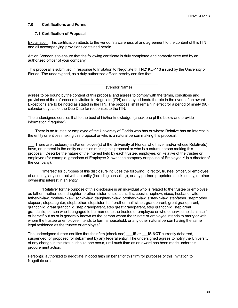#### <span id="page-29-0"></span>**7.0 Certifications and Forms**

#### <span id="page-29-1"></span>**7.1 Certification of Proposal**

Explanation: This certification attests to the vendor's awareness of and agreement to the content of this ITN and all accompanying provisions contained herein.

Action: Vendor is to ensure that the following certificate is duly completed and correctly executed by an authorized officer of your company.

This proposal is submitted in response to Invitation to Negotiate # ITN21KO-113 issued by the University of Florida. The undersigned, as a duly authorized officer, hereby certifies that

#### \_\_\_\_\_\_\_\_\_\_\_\_\_\_\_\_\_\_\_\_\_\_\_\_\_\_\_\_\_\_\_\_\_\_\_\_\_ (Vendor Name)

agrees to be bound by the content of this proposal and agrees to comply with the terms, conditions and provisions of the referenced Invitation to Negotiate (ITN) and any addenda thereto in the event of an award. Exceptions are to be noted as stated in the ITN. The proposal shall remain in effect for a period of ninety (90) calendar days as of the Due Date for responses to the ITN.

The undersigned certifies that to the best of his/her knowledge: (check one pf the below and provide information if required)

There is no trustee or employee of the University of Florida who has or whose Relative has an Interest in the entity or entities making this proposal or who is a natural person making this proposal.

There are trustee(s) and/or employee(s) of the University of Florida who have, and/or whose Relative(s) have, an Interest in the entity or entities making this proposal or who is a natural person making this proposal. Describe the nature of the interest held by each trustee, employee, or Relative of the trustee or employee (for example, grandson of Employee X owns the company or spouse of Employee Y is a director of the company).

"Interest" for purposes of this disclosure includes the following: director, trustee, officer, or employee of an entity, any contract with an entity (including consulting), or any partner, proprietor, stock, equity, or other ownership interest in an entity.

"Relative" for the purpose of this disclosure is an individual who is related to the trustee or employee as father, mother, son, daughter, brother, sister, uncle, aunt, first cousin, nephew, niece, husband, wife, father-in-law, mother-in-law, son-in-law, daughter-in-law, brother-in-law, sister-in-law, stepfather, stepmother, stepson, stepdaughter, stepbrother, stepsister, half-brother, half-sister, grandparent, great grandparent, grandchild, great grandchild, step grandparent, step great grandparent, step grandchild, step great grandchild, person who is engaged to be married to the trustee or employee or who otherwise holds himself or herself out as or is generally known as the person whom the trustee or employee intends to marry or with whom the trustee or employee intends to form a household, or any other natural person having the same legal residence as the trustee or employee"

The undersigned further certifies that their firm (check one) \_\_\_**IS** *or* \_\_\_**IS NOT** currently debarred, suspended, or proposed for debarment by any federal entity. The undersigned agrees to notify the University of any change in this status, should one occur, until such time as an award has been made under this procurement action.

Person(s) authorized to negotiate in good faith on behalf of this firm for purposes of this Invitation to Negotiate are: